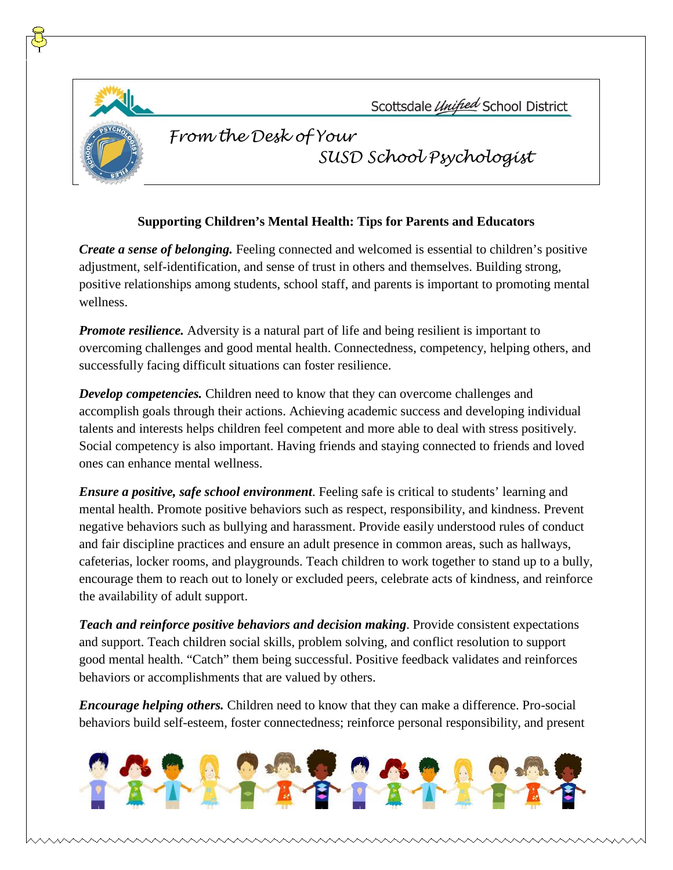Scottsdale Unified School District

*SUSD School Psychologist*

## **Supporting Children's Mental Health: Tips for Parents and Educators**

*From the Desk of Your*

*Create a sense of belonging.* Feeling connected and welcomed is essential to children's positive adjustment, self-identification, and sense of trust in others and themselves. Building strong, positive relationships among students, school staff, and parents is important to promoting mental wellness.

*Promote resilience.* Adversity is a natural part of life and being resilient is important to overcoming challenges and good mental health. Connectedness, competency, helping others, and successfully facing difficult situations can foster resilience.

*Develop competencies.* Children need to know that they can overcome challenges and accomplish goals through their actions. Achieving academic success and developing individual talents and interests helps children feel competent and more able to deal with stress positively. Social competency is also important. Having friends and staying connected to friends and loved ones can enhance mental wellness.

*Ensure a positive, safe school environment*. Feeling safe is critical to students' learning and mental health. Promote positive behaviors such as respect, responsibility, and kindness. Prevent negative behaviors such as bullying and harassment. Provide easily understood rules of conduct and fair discipline practices and ensure an adult presence in common areas, such as hallways, cafeterias, locker rooms, and playgrounds. Teach children to work together to stand up to a bully, encourage them to reach out to lonely or excluded peers, celebrate acts of kindness, and reinforce the availability of adult support.

*Teach and reinforce positive behaviors and decision making*. Provide consistent expectations and support. Teach children social skills, problem solving, and conflict resolution to support good mental health. "Catch" them being successful. Positive feedback validates and reinforces behaviors or accomplishments that are valued by others.

*Encourage helping others.* Children need to know that they can make a difference. Pro-social behaviors build self-esteem, foster connectedness; reinforce personal responsibility, and present